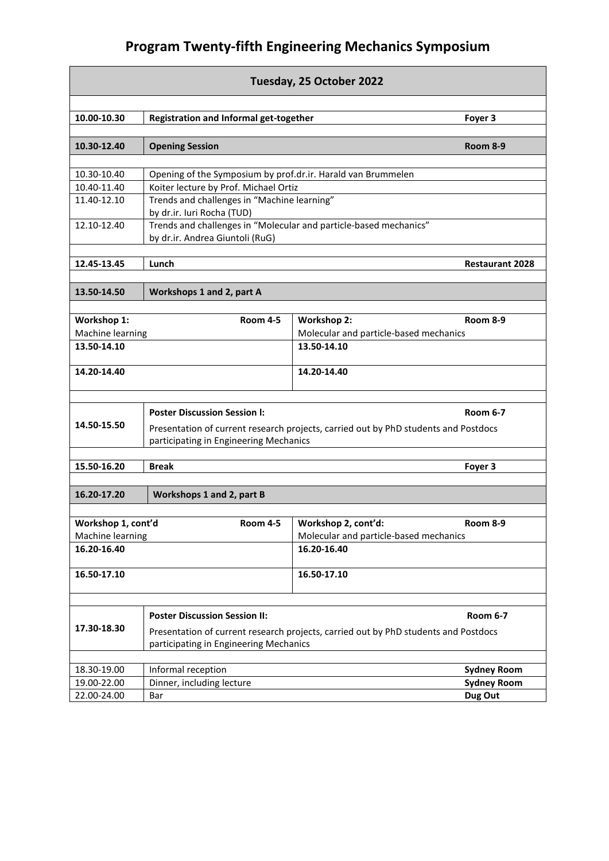## **Program Twenty-fifth Engineering Mechanics Symposium**

| Tuesday, 25 October 2022 |                                                                                     |                                        |                    |  |
|--------------------------|-------------------------------------------------------------------------------------|----------------------------------------|--------------------|--|
|                          |                                                                                     |                                        |                    |  |
| 10.00-10.30              | Registration and Informal get-together                                              |                                        | Foyer 3            |  |
| 10.30-12.40              | <b>Opening Session</b>                                                              |                                        | Room 8-9           |  |
|                          |                                                                                     |                                        |                    |  |
| 10.30-10.40              | Opening of the Symposium by prof.dr.ir. Harald van Brummelen                        |                                        |                    |  |
| 10.40-11.40              | Koiter lecture by Prof. Michael Ortiz                                               |                                        |                    |  |
| 11.40-12.10              | Trends and challenges in "Machine learning"                                         |                                        |                    |  |
|                          | by dr.ir. Iuri Rocha (TUD)                                                          |                                        |                    |  |
| 12.10-12.40              | Trends and challenges in "Molecular and particle-based mechanics"                   |                                        |                    |  |
|                          | by dr.ir. Andrea Giuntoli (RuG)                                                     |                                        |                    |  |
| 12.45-13.45              | Lunch<br><b>Restaurant 2028</b>                                                     |                                        |                    |  |
|                          |                                                                                     |                                        |                    |  |
| 13.50-14.50              | Workshops 1 and 2, part A                                                           |                                        |                    |  |
|                          |                                                                                     |                                        |                    |  |
| Workshop 1:              | <b>Room 4-5</b>                                                                     | <b>Workshop 2:</b>                     | <b>Room 8-9</b>    |  |
| Machine learning         |                                                                                     | Molecular and particle-based mechanics |                    |  |
| 13.50-14.10              |                                                                                     | 13.50-14.10                            |                    |  |
| 14.20-14.40              |                                                                                     | 14.20-14.40                            |                    |  |
|                          |                                                                                     |                                        |                    |  |
|                          | <b>Poster Discussion Session I:</b>                                                 |                                        | <b>Room 6-7</b>    |  |
| 14.50-15.50              | Presentation of current research projects, carried out by PhD students and Postdocs |                                        |                    |  |
|                          | participating in Engineering Mechanics                                              |                                        |                    |  |
| 15.50-16.20              | <b>Break</b>                                                                        |                                        | Foyer 3            |  |
|                          |                                                                                     |                                        |                    |  |
| 16.20-17.20              | Workshops 1 and 2, part B                                                           |                                        |                    |  |
|                          |                                                                                     |                                        |                    |  |
| Workshop 1, cont'd       | <b>Room 4-5</b>                                                                     | Workshop 2, cont'd:                    | <b>Room 8-9</b>    |  |
| Machine learning         |                                                                                     | Molecular and particle-based mechanics |                    |  |
| 16.20-16.40              |                                                                                     | 16.20-16.40                            |                    |  |
| 16.50-17.10              |                                                                                     | 16.50-17.10                            |                    |  |
|                          |                                                                                     |                                        |                    |  |
| 17.30-18.30              | <b>Poster Discussion Session II:</b>                                                |                                        | <b>Room 6-7</b>    |  |
|                          | Presentation of current research projects, carried out by PhD students and Postdocs |                                        |                    |  |
|                          | participating in Engineering Mechanics                                              |                                        |                    |  |
| 18.30-19.00              | Informal reception                                                                  |                                        | <b>Sydney Room</b> |  |
| 19.00-22.00              | Dinner, including lecture                                                           |                                        | <b>Sydney Room</b> |  |
| 22.00-24.00              | Bar                                                                                 |                                        | Dug Out            |  |